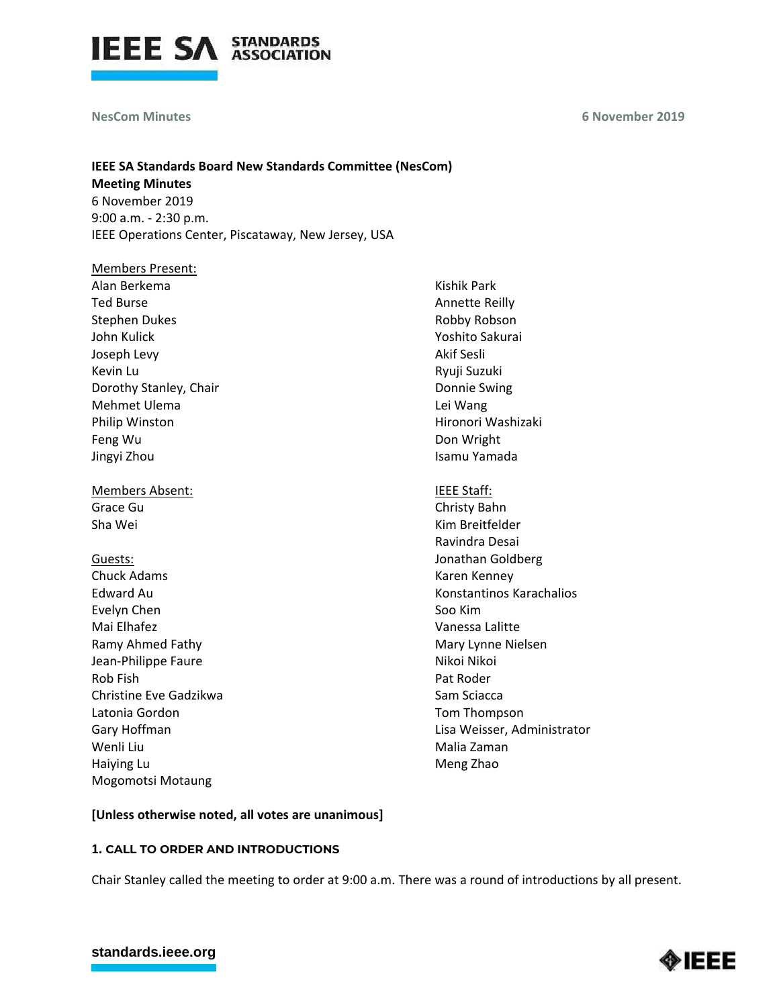

#### **NesCom Minutes**

# **IEEE SA Standards Board New Standards Committee (NesCom)**

**Meeting Minutes** 6 November 2019 9:00 a.m. - 2:30 p.m. IEEE Operations Center, Piscataway, New Jersey, USA

# Members Present: Alan Berkema Ted Burse Stephen Dukes John Kulick Joseph Levy Kevin Lu Dorothy Stanley, Chair Mehmet Ulema Philip Winston Feng Wu Jingyi Zhou

Members Absent: Grace Gu Sha Wei

# Guests:

Chuck Adams Edward Au Evelyn Chen Mai Elhafez Ramy Ahmed Fathy Jean-Philippe Faure Rob Fish Christine Eve Gadzikwa Latonia Gordon Gary Hoffman Wenli Liu Haiying Lu Mogomotsi Motaung

Kishik Park Annette Reilly Robby Robson Yoshito Sakurai Akif Sesli Ryuji Suzuki Donnie Swing Lei Wang Hironori Washizaki Don Wright Isamu Yamada

# IEEE Staff:

Christy Bahn Kim Breitfelder Ravindra Desai Jonathan Goldberg Karen Kenney Konstantinos Karachalios Soo Kim Vanessa Lalitte Mary Lynne Nielsen Nikoi Nikoi Pat Roder Sam Sciacca Tom Thompson Lisa Weisser, Administrator Malia Zaman Meng Zhao

# **[Unless otherwise noted, all votes are unanimous]**

# **1. CALL TO ORDER AND INTRODUCTIONS**

Chair Stanley called the meeting to order at 9:00 a.m. There was a round of introductions by all present.



# **[standards.ieee.org](http://standards.ieee.org/)**

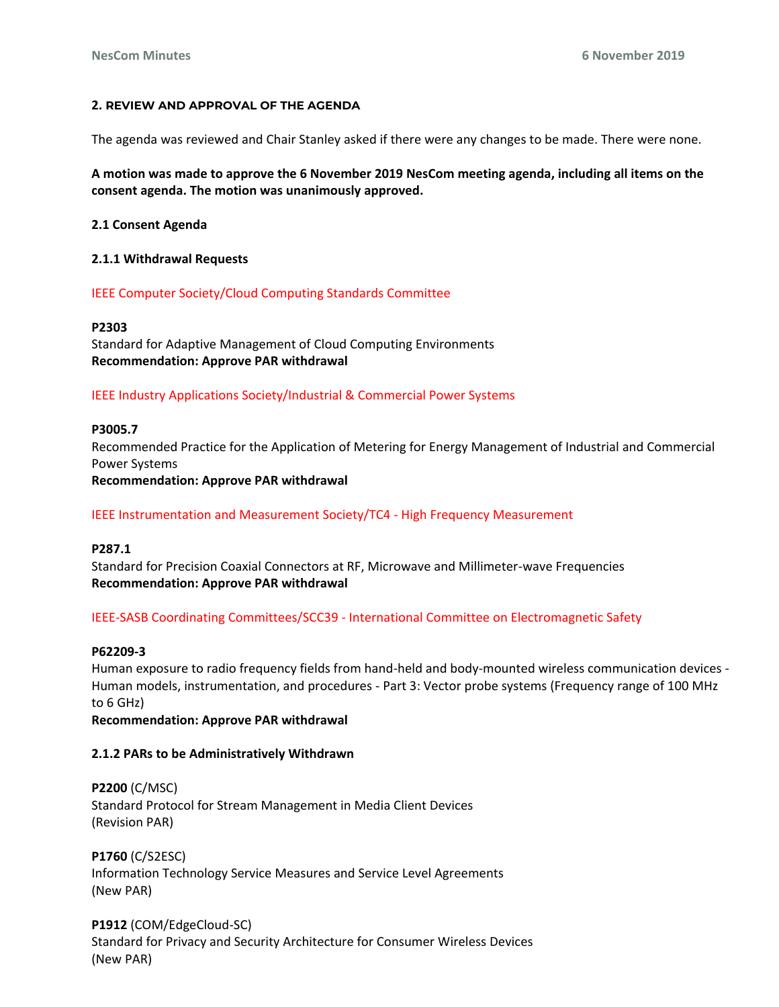# **2. REVIEW AND APPROVAL OF THE AGENDA**

The agenda was reviewed and Chair Stanley asked if there were any changes to be made. There were none.

**A motion was made to approve the 6 November 2019 NesCom meeting agenda, including all items on the consent agenda. The motion was unanimously approved.**

**2.1 Consent Agenda**

## **2.1.1 Withdrawal Requests**

IEEE Computer Society/Cloud Computing Standards Committee

#### **P2303**

Standard for Adaptive Management of Cloud Computing Environments **Recommendation: Approve PAR withdrawal**

#### IEEE Industry Applications Society/Industrial & Commercial Power Systems

#### **P3005.7**

Recommended Practice for the Application of Metering for Energy Management of Industrial and Commercial Power Systems **Recommendation: Approve PAR withdrawal**

IEEE Instrumentation and Measurement Society/TC4 - High Frequency Measurement

# **P287.1**

Standard for Precision Coaxial Connectors at RF, Microwave and Millimeter-wave Frequencies **Recommendation: Approve PAR withdrawal**

#### IEEE-SASB Coordinating Committees/SCC39 - International Committee on Electromagnetic Safety

#### **P62209-3**

Human exposure to radio frequency fields from hand-held and body-mounted wireless communication devices - Human models, instrumentation, and procedures - Part 3: Vector probe systems (Frequency range of 100 MHz to 6 GHz)

**Recommendation: Approve PAR withdrawal**

#### **2.1.2 PARs to be Administratively Withdrawn**

**P2200** (C/MSC) Standard Protocol for Stream Management in Media Client Devices (Revision PAR)

**P1760** (C/S2ESC) Information Technology Service Measures and Service Level Agreements (New PAR)

**P1912** (COM/EdgeCloud-SC) Standard for Privacy and Security Architecture for Consumer Wireless Devices (New PAR)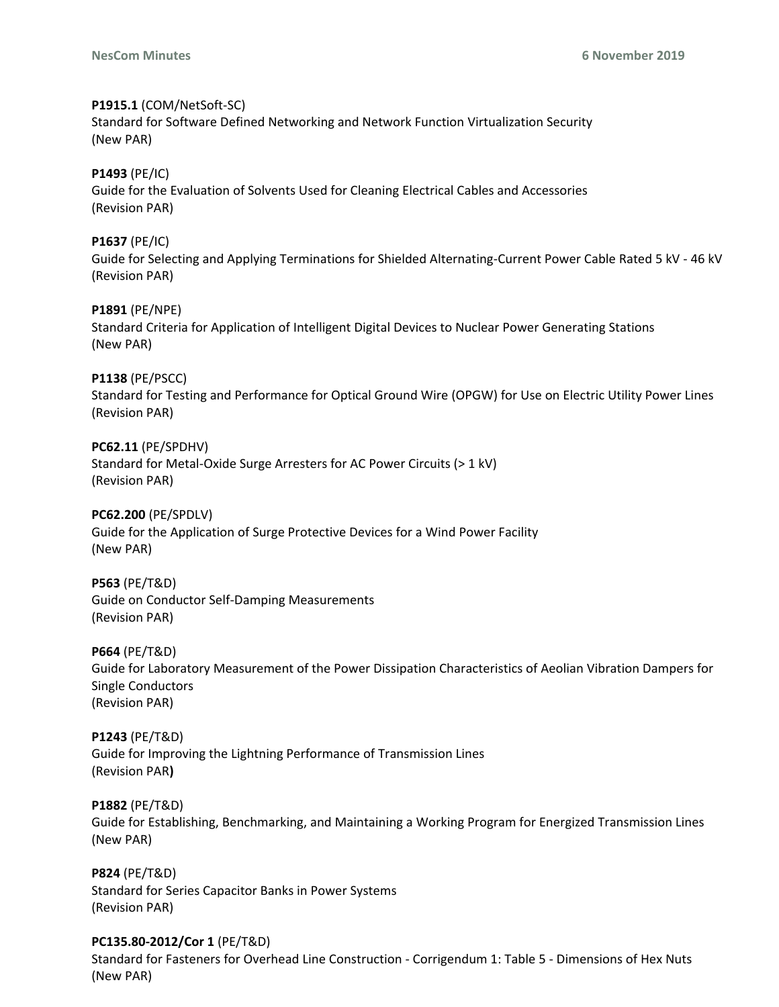# **P1915.1** (COM/NetSoft-SC)

Standard for Software Defined Networking and Network Function Virtualization Security (New PAR)

# **P1493** (PE/IC)

Guide for the Evaluation of Solvents Used for Cleaning Electrical Cables and Accessories (Revision PAR)

# **P1637** (PE/IC)

Guide for Selecting and Applying Terminations for Shielded Alternating-Current Power Cable Rated 5 kV - 46 kV (Revision PAR)

# **P1891** (PE/NPE)

Standard Criteria for Application of Intelligent Digital Devices to Nuclear Power Generating Stations (New PAR)

# **P1138** (PE/PSCC)

Standard for Testing and Performance for Optical Ground Wire (OPGW) for Use on Electric Utility Power Lines (Revision PAR)

# **PC62.11** (PE/SPDHV)

Standard for Metal-Oxide Surge Arresters for AC Power Circuits (> 1 kV) (Revision PAR)

# **PC62.200** (PE/SPDLV)

Guide for the Application of Surge Protective Devices for a Wind Power Facility (New PAR)

# **P563** (PE/T&D)

Guide on Conductor Self-Damping Measurements (Revision PAR)

# **P664** (PE/T&D)

Guide for Laboratory Measurement of the Power Dissipation Characteristics of Aeolian Vibration Dampers for Single Conductors (Revision PAR)

# **P1243** (PE/T&D)

Guide for Improving the Lightning Performance of Transmission Lines (Revision PAR**)**

# **P1882** (PE/T&D)

Guide for Establishing, Benchmarking, and Maintaining a Working Program for Energized Transmission Lines (New PAR)

# **P824** (PE/T&D)

Standard for Series Capacitor Banks in Power Systems (Revision PAR)

# **PC135.80-2012/Cor 1** (PE/T&D)

Standard for Fasteners for Overhead Line Construction - Corrigendum 1: Table 5 - Dimensions of Hex Nuts (New PAR)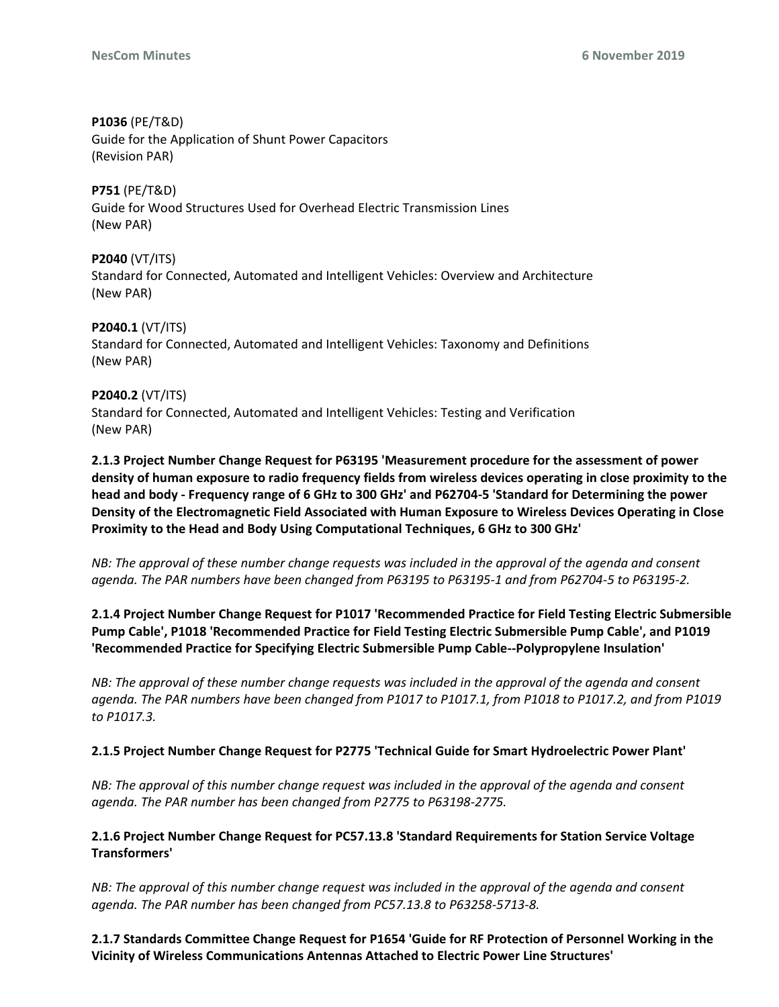**P1036** (PE/T&D) Guide for the Application of Shunt Power Capacitors (Revision PAR)

**P751** (PE/T&D) Guide for Wood Structures Used for Overhead Electric Transmission Lines (New PAR)

**P2040** (VT/ITS) Standard for Connected, Automated and Intelligent Vehicles: Overview and Architecture (New PAR)

**P2040.1** (VT/ITS) Standard for Connected, Automated and Intelligent Vehicles: Taxonomy and Definitions (New PAR)

**P2040.2** (VT/ITS) Standard for Connected, Automated and Intelligent Vehicles: Testing and Verification (New PAR)

**2.1.3 Project Number Change Request for P63195 'Measurement procedure for the assessment of power density of human exposure to radio frequency fields from wireless devices operating in close proximity to the head and body - Frequency range of 6 GHz to 300 GHz' and P62704-5 'Standard for Determining the power Density of the Electromagnetic Field Associated with Human Exposure to Wireless Devices Operating in Close Proximity to the Head and Body Using Computational Techniques, 6 GHz to 300 GHz'**

*NB: The approval of these number change requests was included in the approval of the agenda and consent agenda. The PAR numbers have been changed from P63195 to P63195-1 and from P62704-5 to P63195-2.* 

**2.1.4 Project Number Change Request for P1017 'Recommended Practice for Field Testing Electric Submersible Pump Cable', P1018 'Recommended Practice for Field Testing Electric Submersible Pump Cable', and P1019 'Recommended Practice for Specifying Electric Submersible Pump Cable--Polypropylene Insulation'**

*NB: The approval of these number change requests was included in the approval of the agenda and consent agenda. The PAR numbers have been changed from P1017 to P1017.1, from P1018 to P1017.2, and from P1019 to P1017.3.*

# **2.1.5 Project Number Change Request for P2775 'Technical Guide for Smart Hydroelectric Power Plant'**

*NB: The approval of this number change request was included in the approval of the agenda and consent agenda. The PAR number has been changed from P2775 to P63198-2775.* 

**2.1.6 Project Number Change Request for PC57.13.8 'Standard Requirements for Station Service Voltage Transformers'**

*NB: The approval of this number change request was included in the approval of the agenda and consent agenda. The PAR number has been changed from PC57.13.8 to P63258-5713-8.* 

**2.1.7 Standards Committee Change Request for P1654 'Guide for RF Protection of Personnel Working in the Vicinity of Wireless Communications Antennas Attached to Electric Power Line Structures'**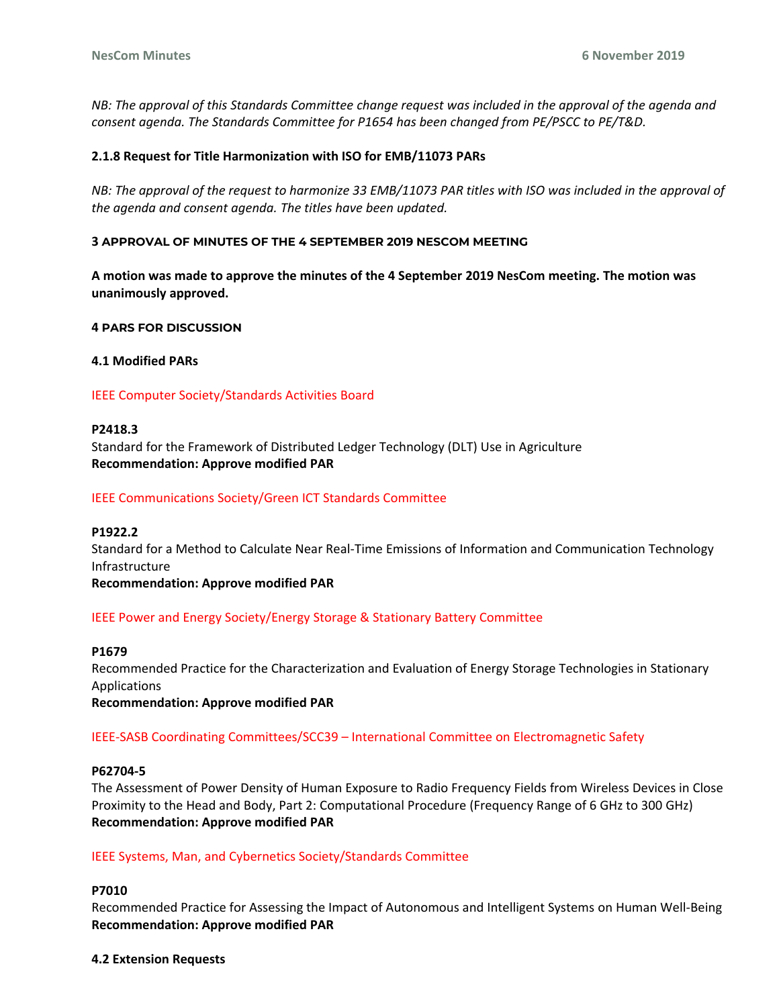*NB: The approval of this Standards Committee change request was included in the approval of the agenda and consent agenda. The Standards Committee for P1654 has been changed from PE/PSCC to PE/T&D.*

# **2.1.8 Request for Title Harmonization with ISO for EMB/11073 PARs**

*NB: The approval of the request to harmonize 33 EMB/11073 PAR titles with ISO was included in the approval of the agenda and consent agenda. The titles have been updated.*

#### **3 APPROVAL OF MINUTES OF THE 4 SEPTEMBER 2019 NESCOM MEETING**

**A motion was made to approve the minutes of the 4 September 2019 NesCom meeting. The motion was unanimously approved.**

**4 PARS FOR DISCUSSION**

**4.1 Modified PARs**

#### IEEE Computer Society/Standards Activities Board

#### **P2418.3**

Standard for the Framework of Distributed Ledger Technology (DLT) Use in Agriculture **Recommendation: Approve modified PAR** 

#### IEEE Communications Society/Green ICT Standards Committee

#### **P1922.2**

Standard for a Method to Calculate Near Real-Time Emissions of Information and Communication Technology Infrastructure

**Recommendation: Approve modified PAR** 

# IEEE Power and Energy Society/Energy Storage & Stationary Battery Committee

#### **P1679**

Recommended Practice for the Characterization and Evaluation of Energy Storage Technologies in Stationary Applications

**Recommendation: Approve modified PAR**

# IEEE-SASB Coordinating Committees/SCC39 – International Committee on Electromagnetic Safety

#### **P62704-5**

The Assessment of Power Density of Human Exposure to Radio Frequency Fields from Wireless Devices in Close Proximity to the Head and Body, Part 2: Computational Procedure (Frequency Range of 6 GHz to 300 GHz) **Recommendation: Approve modified PAR** 

#### IEEE Systems, Man, and Cybernetics Society/Standards Committee

# **P7010**

Recommended Practice for Assessing the Impact of Autonomous and Intelligent Systems on Human Well-Being **Recommendation: Approve modified PAR**

#### **4.2 Extension Requests**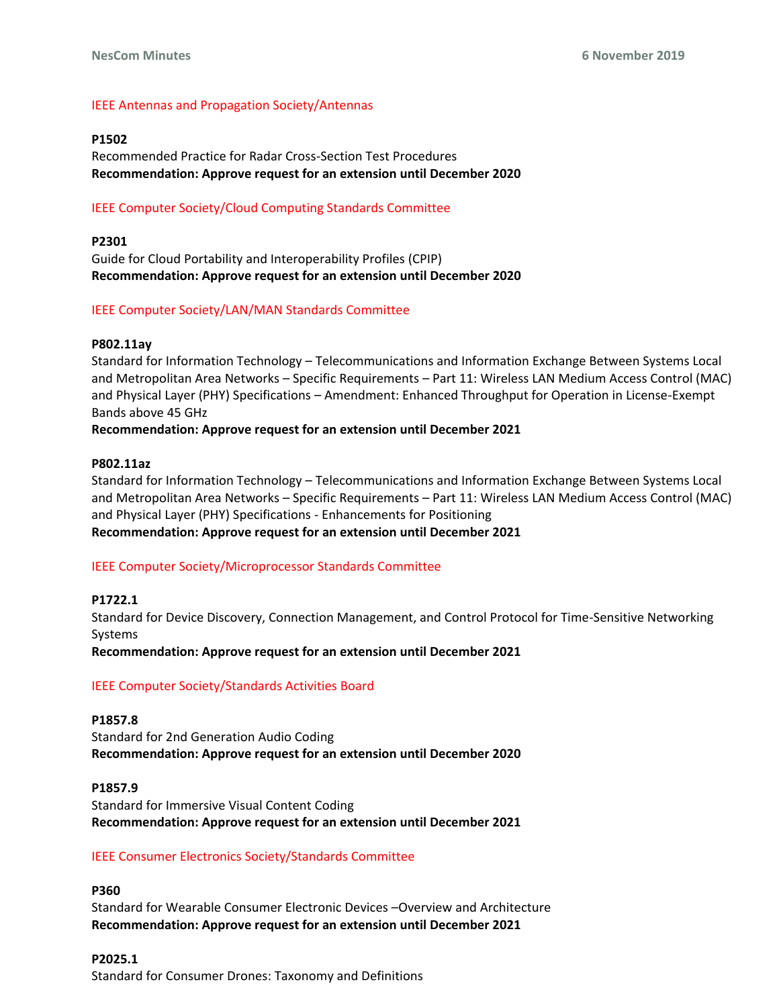# IEEE Antennas and Propagation Society/Antennas

## **P1502**

Recommended Practice for Radar Cross-Section Test Procedures **Recommendation: Approve request for an extension until December 2020** 

# IEEE Computer Society/Cloud Computing Standards Committee

# **P2301**

Guide for Cloud Portability and Interoperability Profiles (CPIP) **Recommendation: Approve request for an extension until December 2020** 

# IEEE Computer Society/LAN/MAN Standards Committee

# **P802.11ay**

Standard for Information Technology – Telecommunications and Information Exchange Between Systems Local and Metropolitan Area Networks – Specific Requirements – Part 11: Wireless LAN Medium Access Control (MAC) and Physical Layer (PHY) Specifications – Amendment: Enhanced Throughput for Operation in License-Exempt Bands above 45 GHz

**Recommendation: Approve request for an extension until December 2021**

# **P802.11az**

Standard for Information Technology – Telecommunications and Information Exchange Between Systems Local and Metropolitan Area Networks – Specific Requirements – Part 11: Wireless LAN Medium Access Control (MAC) and Physical Layer (PHY) Specifications - Enhancements for Positioning **Recommendation: Approve request for an extension until December 2021** 

# IEEE Computer Society/Microprocessor Standards Committee

# **P1722.1**

Standard for Device Discovery, Connection Management, and Control Protocol for Time-Sensitive Networking Systems

**Recommendation: Approve request for an extension until December 2021**

# IEEE Computer Society/Standards Activities Board

**P1857.8**  Standard for 2nd Generation Audio Coding **Recommendation: Approve request for an extension until December 2020** 

**P1857.9**  Standard for Immersive Visual Content Coding **Recommendation: Approve request for an extension until December 2021** 

# IEEE Consumer Electronics Society/Standards Committee

**P360**  Standard for Wearable Consumer Electronic Devices –Overview and Architecture **Recommendation: Approve request for an extension until December 2021** 

**P2025.1**  Standard for Consumer Drones: Taxonomy and Definitions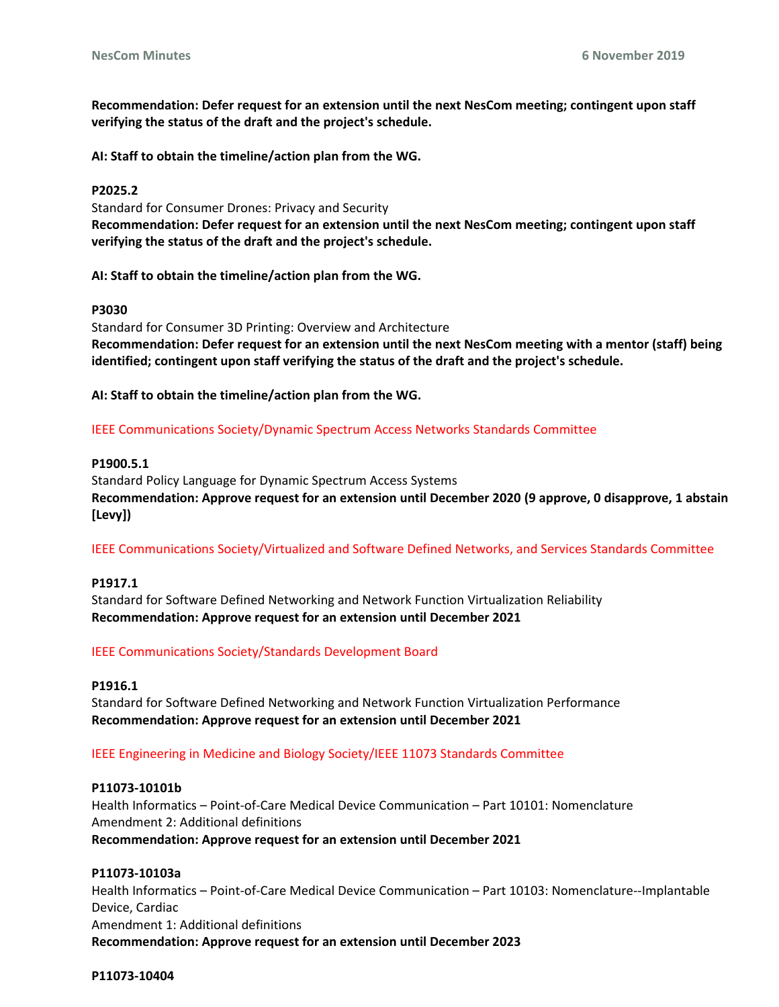**Recommendation: Defer request for an extension until the next NesCom meeting; contingent upon staff verifying the status of the draft and the project's schedule.** 

**AI: Staff to obtain the timeline/action plan from the WG.** 

# **P2025.2**

Standard for Consumer Drones: Privacy and Security **Recommendation: Defer request for an extension until the next NesCom meeting; contingent upon staff verifying the status of the draft and the project's schedule.** 

**AI: Staff to obtain the timeline/action plan from the WG.** 

# **P3030**

Standard for Consumer 3D Printing: Overview and Architecture **Recommendation: Defer request for an extension until the next NesCom meeting with a mentor (staff) being identified; contingent upon staff verifying the status of the draft and the project's schedule.** 

**AI: Staff to obtain the timeline/action plan from the WG.**

IEEE Communications Society/Dynamic Spectrum Access Networks Standards Committee

# **P1900.5.1**

Standard Policy Language for Dynamic Spectrum Access Systems **Recommendation: Approve request for an extension until December 2020 (9 approve, 0 disapprove, 1 abstain [Levy])**

IEEE Communications Society/Virtualized and Software Defined Networks, and Services Standards Committee

# **P1917.1**

Standard for Software Defined Networking and Network Function Virtualization Reliability **Recommendation: Approve request for an extension until December 2021** 

# IEEE Communications Society/Standards Development Board

# **P1916.1**

Standard for Software Defined Networking and Network Function Virtualization Performance **Recommendation: Approve request for an extension until December 2021**

# IEEE Engineering in Medicine and Biology Society/IEEE 11073 Standards Committee

# **P11073-10101b**

Health Informatics – Point-of-Care Medical Device Communication – Part 10101: Nomenclature Amendment 2: Additional definitions **Recommendation: Approve request for an extension until December 2021** 

# **P11073-10103a**

Health Informatics – Point-of-Care Medical Device Communication – Part 10103: Nomenclature--Implantable Device, Cardiac Amendment 1: Additional definitions **Recommendation: Approve request for an extension until December 2023**

#### **P11073-10404**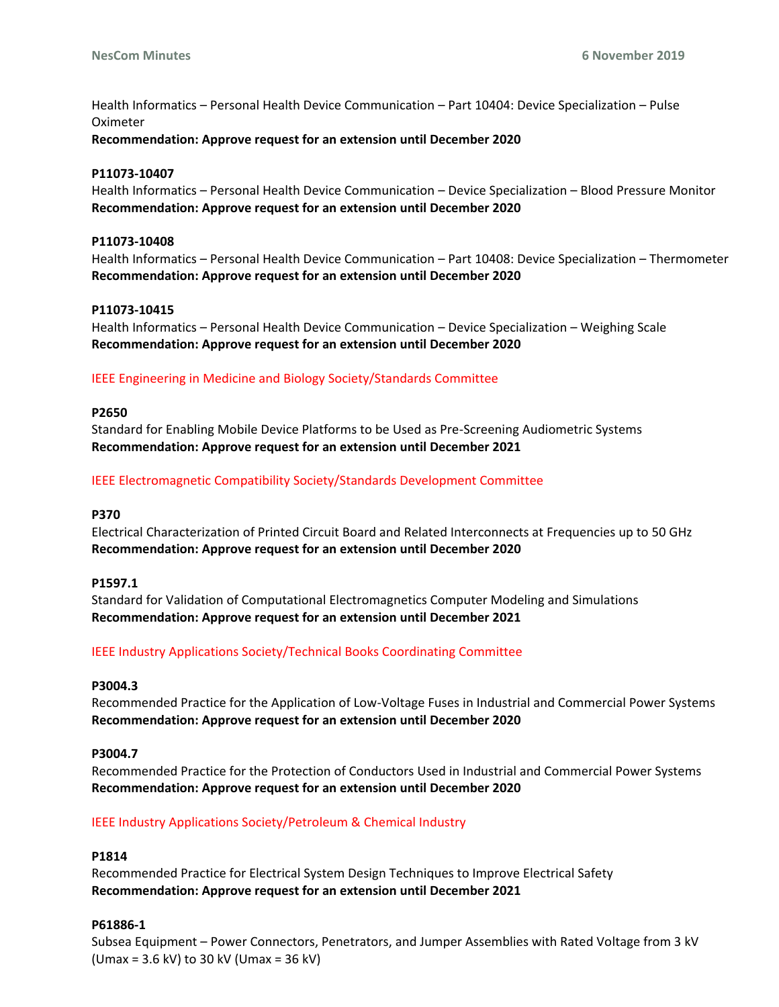Health Informatics – Personal Health Device Communication – Part 10404: Device Specialization – Pulse Oximeter

**Recommendation: Approve request for an extension until December 2020** 

#### **P11073-10407**

Health Informatics – Personal Health Device Communication – Device Specialization – Blood Pressure Monitor **Recommendation: Approve request for an extension until December 2020** 

#### **P11073-10408**

Health Informatics – Personal Health Device Communication – Part 10408: Device Specialization – Thermometer **Recommendation: Approve request for an extension until December 2020** 

#### **P11073-10415**

Health Informatics – Personal Health Device Communication – Device Specialization – Weighing Scale **Recommendation: Approve request for an extension until December 2020**

#### IEEE Engineering in Medicine and Biology Society/Standards Committee

#### **P2650**

Standard for Enabling Mobile Device Platforms to be Used as Pre-Screening Audiometric Systems **Recommendation: Approve request for an extension until December 2021** 

#### IEEE Electromagnetic Compatibility Society/Standards Development Committee

## **P370**

Electrical Characterization of Printed Circuit Board and Related Interconnects at Frequencies up to 50 GHz **Recommendation: Approve request for an extension until December 2020** 

#### **P1597.1**

Standard for Validation of Computational Electromagnetics Computer Modeling and Simulations **Recommendation: Approve request for an extension until December 2021** 

# IEEE Industry Applications Society/Technical Books Coordinating Committee

# **P3004.3**

Recommended Practice for the Application of Low-Voltage Fuses in Industrial and Commercial Power Systems **Recommendation: Approve request for an extension until December 2020** 

## **P3004.7**

Recommended Practice for the Protection of Conductors Used in Industrial and Commercial Power Systems **Recommendation: Approve request for an extension until December 2020** 

# IEEE Industry Applications Society/Petroleum & Chemical Industry

#### **P1814**

Recommended Practice for Electrical System Design Techniques to Improve Electrical Safety **Recommendation: Approve request for an extension until December 2021** 

## **P61886-1**

Subsea Equipment – Power Connectors, Penetrators, and Jumper Assemblies with Rated Voltage from 3 kV (Umax = 3.6 kV) to 30 kV (Umax = 36 kV)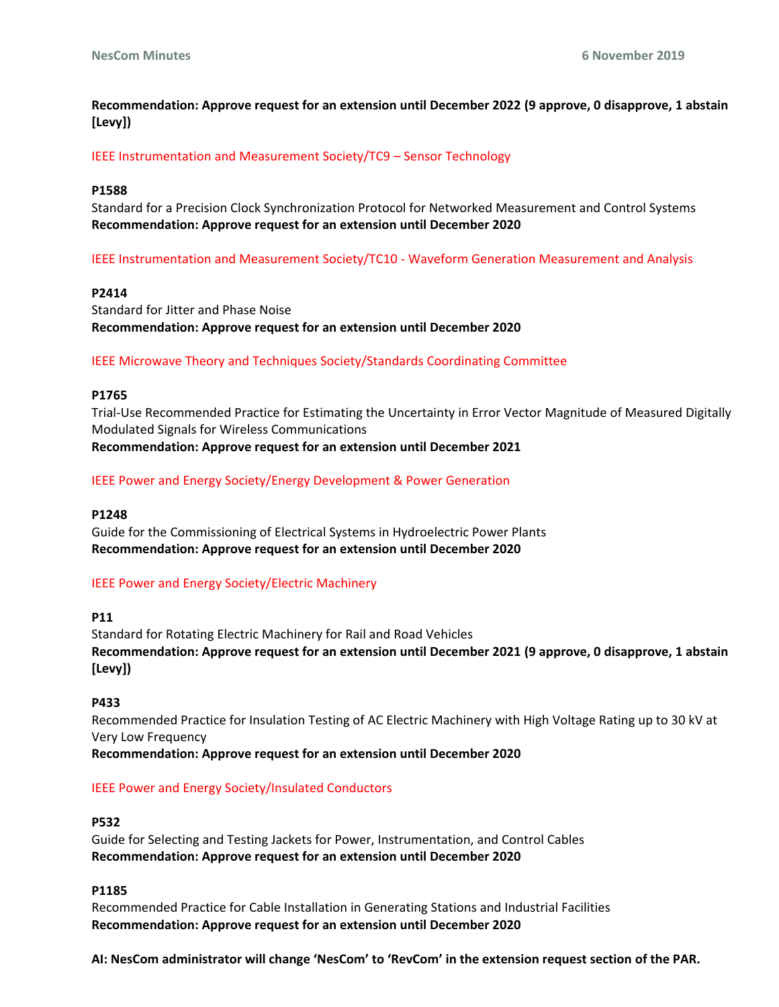**Recommendation: Approve request for an extension until December 2022 (9 approve, 0 disapprove, 1 abstain [Levy])**

IEEE Instrumentation and Measurement Society/TC9 – Sensor Technology

#### **P1588**

Standard for a Precision Clock Synchronization Protocol for Networked Measurement and Control Systems **Recommendation: Approve request for an extension until December 2020**

IEEE Instrumentation and Measurement Society/TC10 - Waveform Generation Measurement and Analysis

## **P2414**

Standard for Jitter and Phase Noise **Recommendation: Approve request for an extension until December 2020** 

IEEE Microwave Theory and Techniques Society/Standards Coordinating Committee

#### **P1765**

Trial-Use Recommended Practice for Estimating the Uncertainty in Error Vector Magnitude of Measured Digitally Modulated Signals for Wireless Communications **Recommendation: Approve request for an extension until December 2021** 

IEEE Power and Energy Society/Energy Development & Power Generation

## **P1248**

Guide for the Commissioning of Electrical Systems in Hydroelectric Power Plants **Recommendation: Approve request for an extension until December 2020**

# IEEE Power and Energy Society/Electric Machinery

**P11** 

Standard for Rotating Electric Machinery for Rail and Road Vehicles **Recommendation: Approve request for an extension until December 2021 (9 approve, 0 disapprove, 1 abstain [Levy])**

#### **P433**

Recommended Practice for Insulation Testing of AC Electric Machinery with High Voltage Rating up to 30 kV at Very Low Frequency **Recommendation: Approve request for an extension until December 2020** 

# IEEE Power and Energy Society/Insulated Conductors

#### **P532**

Guide for Selecting and Testing Jackets for Power, Instrumentation, and Control Cables **Recommendation: Approve request for an extension until December 2020** 

# **P1185**

Recommended Practice for Cable Installation in Generating Stations and Industrial Facilities **Recommendation: Approve request for an extension until December 2020** 

**AI: NesCom administrator will change 'NesCom' to 'RevCom' in the extension request section of the PAR.**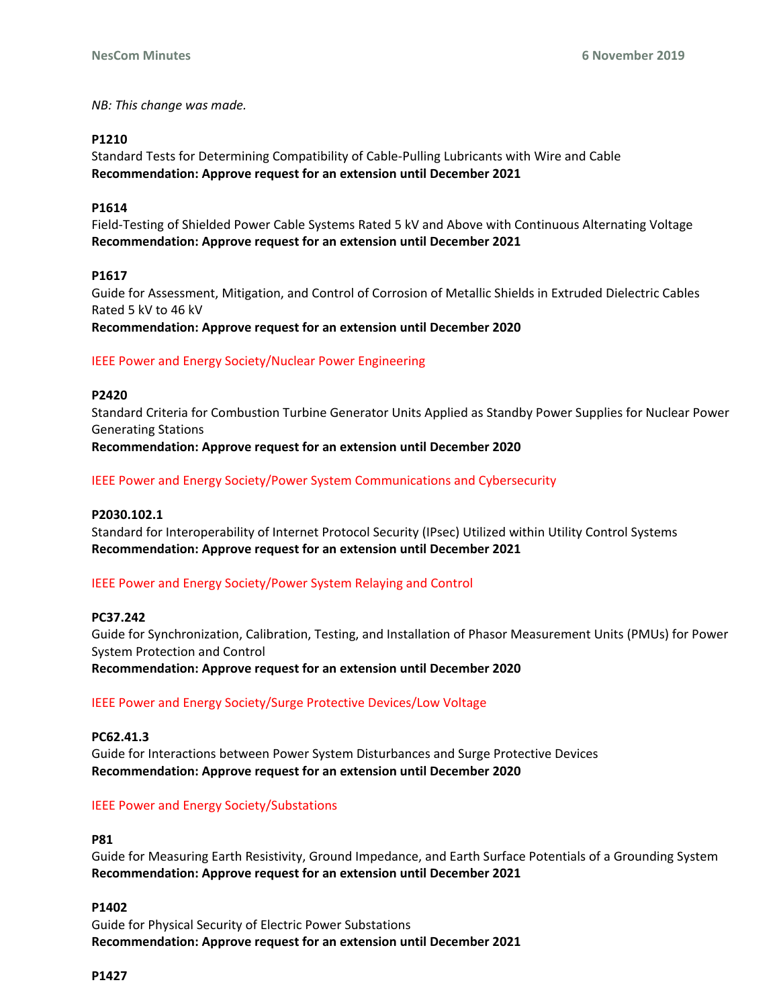*NB: This change was made.* 

# **P1210**

Standard Tests for Determining Compatibility of Cable-Pulling Lubricants with Wire and Cable **Recommendation: Approve request for an extension until December 2021**

# **P1614**

Field-Testing of Shielded Power Cable Systems Rated 5 kV and Above with Continuous Alternating Voltage **Recommendation: Approve request for an extension until December 2021** 

# **P1617**

Guide for Assessment, Mitigation, and Control of Corrosion of Metallic Shields in Extruded Dielectric Cables Rated 5 kV to 46 kV

**Recommendation: Approve request for an extension until December 2020** 

# IEEE Power and Energy Society/Nuclear Power Engineering

# **P2420**

Standard Criteria for Combustion Turbine Generator Units Applied as Standby Power Supplies for Nuclear Power Generating Stations **Recommendation: Approve request for an extension until December 2020** 

IEEE Power and Energy Society/Power System Communications and Cybersecurity

# **P2030.102.1**

Standard for Interoperability of Internet Protocol Security (IPsec) Utilized within Utility Control Systems **Recommendation: Approve request for an extension until December 2021** 

# IEEE Power and Energy Society/Power System Relaying and Control

# **PC37.242**

Guide for Synchronization, Calibration, Testing, and Installation of Phasor Measurement Units (PMUs) for Power System Protection and Control

**Recommendation: Approve request for an extension until December 2020** 

# IEEE Power and Energy Society/Surge Protective Devices/Low Voltage

# **PC62.41.3**

Guide for Interactions between Power System Disturbances and Surge Protective Devices **Recommendation: Approve request for an extension until December 2020**

# IEEE Power and Energy Society/Substations

# **P81**

Guide for Measuring Earth Resistivity, Ground Impedance, and Earth Surface Potentials of a Grounding System **Recommendation: Approve request for an extension until December 2021** 

# **P1402**

Guide for Physical Security of Electric Power Substations **Recommendation: Approve request for an extension until December 2021**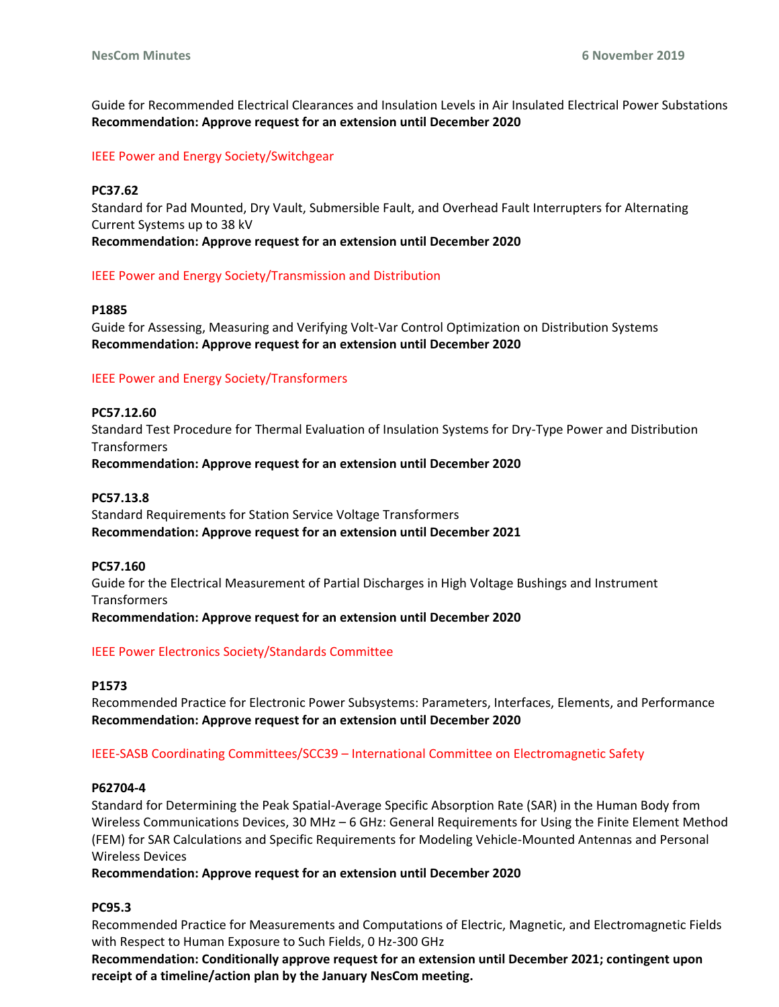Guide for Recommended Electrical Clearances and Insulation Levels in Air Insulated Electrical Power Substations **Recommendation: Approve request for an extension until December 2020** 

# IEEE Power and Energy Society/Switchgear

## **PC37.62**

Standard for Pad Mounted, Dry Vault, Submersible Fault, and Overhead Fault Interrupters for Alternating Current Systems up to 38 kV

**Recommendation: Approve request for an extension until December 2020** 

# IEEE Power and Energy Society/Transmission and Distribution

## **P1885**

Guide for Assessing, Measuring and Verifying Volt-Var Control Optimization on Distribution Systems **Recommendation: Approve request for an extension until December 2020** 

#### IEEE Power and Energy Society/Transformers

**PC57.12.60**  Standard Test Procedure for Thermal Evaluation of Insulation Systems for Dry-Type Power and Distribution **Transformers Recommendation: Approve request for an extension until December 2020**

## **PC57.13.8**

Standard Requirements for Station Service Voltage Transformers **Recommendation: Approve request for an extension until December 2021** 

#### **PC57.160**

Guide for the Electrical Measurement of Partial Discharges in High Voltage Bushings and Instrument **Transformers** 

**Recommendation: Approve request for an extension until December 2020** 

# IEEE Power Electronics Society/Standards Committee

#### **P1573**

Recommended Practice for Electronic Power Subsystems: Parameters, Interfaces, Elements, and Performance **Recommendation: Approve request for an extension until December 2020**

# IEEE-SASB Coordinating Committees/SCC39 – International Committee on Electromagnetic Safety

#### **P62704-4**

Standard for Determining the Peak Spatial-Average Specific Absorption Rate (SAR) in the Human Body from Wireless Communications Devices, 30 MHz – 6 GHz: General Requirements for Using the Finite Element Method (FEM) for SAR Calculations and Specific Requirements for Modeling Vehicle-Mounted Antennas and Personal Wireless Devices

**Recommendation: Approve request for an extension until December 2020** 

# **PC95.3**

Recommended Practice for Measurements and Computations of Electric, Magnetic, and Electromagnetic Fields with Respect to Human Exposure to Such Fields, 0 Hz-300 GHz

**Recommendation: Conditionally approve request for an extension until December 2021; contingent upon receipt of a timeline/action plan by the January NesCom meeting.**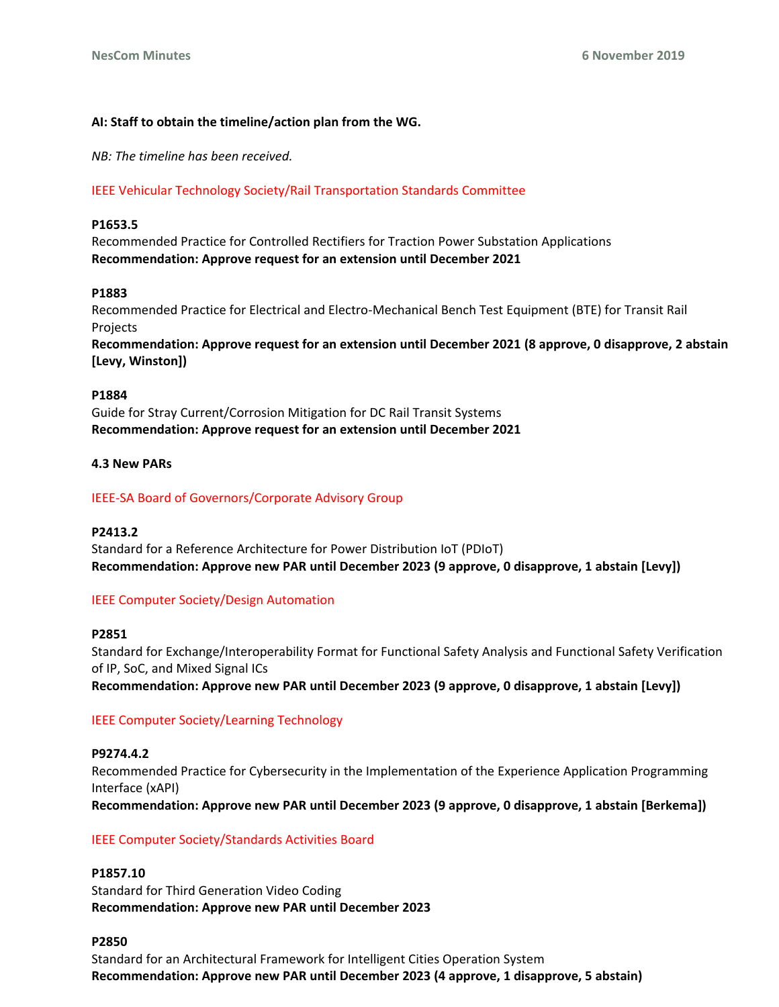# **AI: Staff to obtain the timeline/action plan from the WG.**

*NB: The timeline has been received.*

# IEEE Vehicular Technology Society/Rail Transportation Standards Committee

## **P1653.5**

Recommended Practice for Controlled Rectifiers for Traction Power Substation Applications **Recommendation: Approve request for an extension until December 2021** 

# **P1883**

Recommended Practice for Electrical and Electro-Mechanical Bench Test Equipment (BTE) for Transit Rail Projects

**Recommendation: Approve request for an extension until December 2021 (8 approve, 0 disapprove, 2 abstain [Levy, Winston])**

#### **P1884**

Guide for Stray Current/Corrosion Mitigation for DC Rail Transit Systems **Recommendation: Approve request for an extension until December 2021**

# **4.3 New PARs**

# IEEE-SA Board of Governors/Corporate Advisory Group

# **P2413.2**

Standard for a Reference Architecture for Power Distribution IoT (PDIoT) **Recommendation: Approve new PAR until December 2023 (9 approve, 0 disapprove, 1 abstain [Levy])**

# IEEE Computer Society/Design Automation

# **P2851**

Standard for Exchange/Interoperability Format for Functional Safety Analysis and Functional Safety Verification of IP, SoC, and Mixed Signal ICs

**Recommendation: Approve new PAR until December 2023 (9 approve, 0 disapprove, 1 abstain [Levy])**

# IEEE Computer Society/Learning Technology

# **P9274.4.2**

Recommended Practice for Cybersecurity in the Implementation of the Experience Application Programming Interface (xAPI) **Recommendation: Approve new PAR until December 2023 (9 approve, 0 disapprove, 1 abstain [Berkema])**

# IEEE Computer Society/Standards Activities Board

# **P1857.10**

Standard for Third Generation Video Coding **Recommendation: Approve new PAR until December 2023** 

# **P2850**

Standard for an Architectural Framework for Intelligent Cities Operation System **Recommendation: Approve new PAR until December 2023 (4 approve, 1 disapprove, 5 abstain)**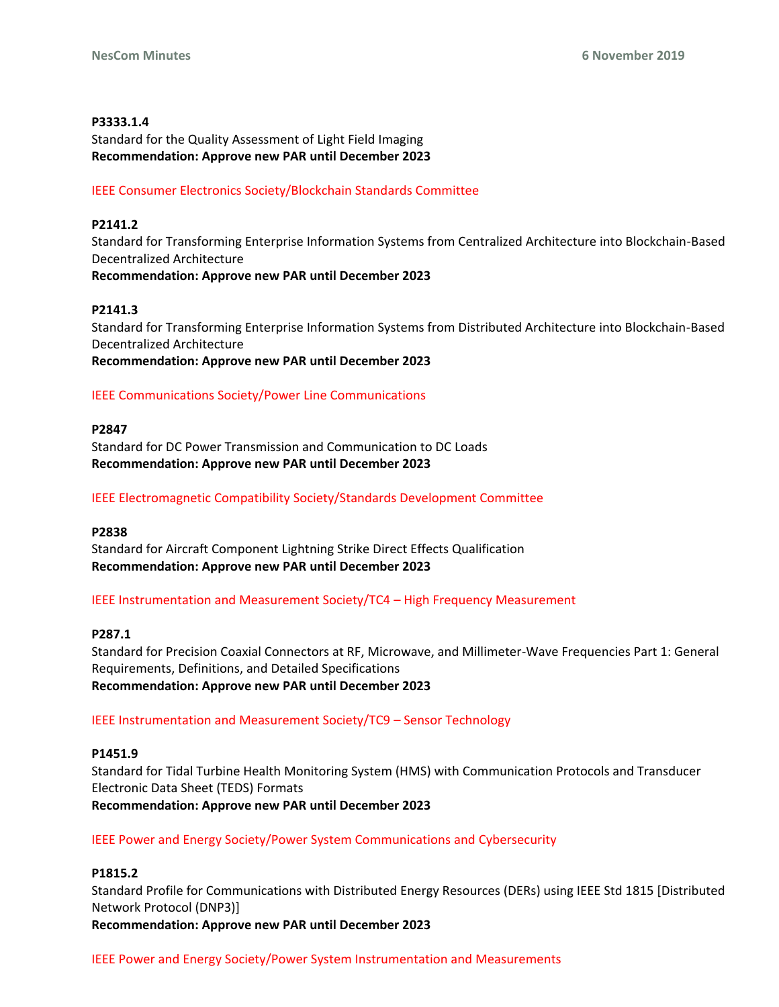# **P3333.1.4**

Standard for the Quality Assessment of Light Field Imaging **Recommendation: Approve new PAR until December 2023** 

# IEEE Consumer Electronics Society/Blockchain Standards Committee

# **P2141.2**

Standard for Transforming Enterprise Information Systems from Centralized Architecture into Blockchain-Based Decentralized Architecture **Recommendation: Approve new PAR until December 2023**

# **P2141.3**

Standard for Transforming Enterprise Information Systems from Distributed Architecture into Blockchain-Based Decentralized Architecture **Recommendation: Approve new PAR until December 2023** 

# IEEE Communications Society/Power Line Communications

# **P2847**

Standard for DC Power Transmission and Communication to DC Loads **Recommendation: Approve new PAR until December 2023** 

# IEEE Electromagnetic Compatibility Society/Standards Development Committee

# **P2838**

Standard for Aircraft Component Lightning Strike Direct Effects Qualification **Recommendation: Approve new PAR until December 2023** 

IEEE Instrumentation and Measurement Society/TC4 – High Frequency Measurement

# **P287.1**

Standard for Precision Coaxial Connectors at RF, Microwave, and Millimeter-Wave Frequencies Part 1: General Requirements, Definitions, and Detailed Specifications **Recommendation: Approve new PAR until December 2023** 

# IEEE Instrumentation and Measurement Society/TC9 – Sensor Technology

# **P1451.9**

Standard for Tidal Turbine Health Monitoring System (HMS) with Communication Protocols and Transducer Electronic Data Sheet (TEDS) Formats **Recommendation: Approve new PAR until December 2023** 

# IEEE Power and Energy Society/Power System Communications and Cybersecurity

# **P1815.2**

Standard Profile for Communications with Distributed Energy Resources (DERs) using IEEE Std 1815 [Distributed Network Protocol (DNP3)] **Recommendation: Approve new PAR until December 2023**

IEEE Power and Energy Society/Power System Instrumentation and Measurements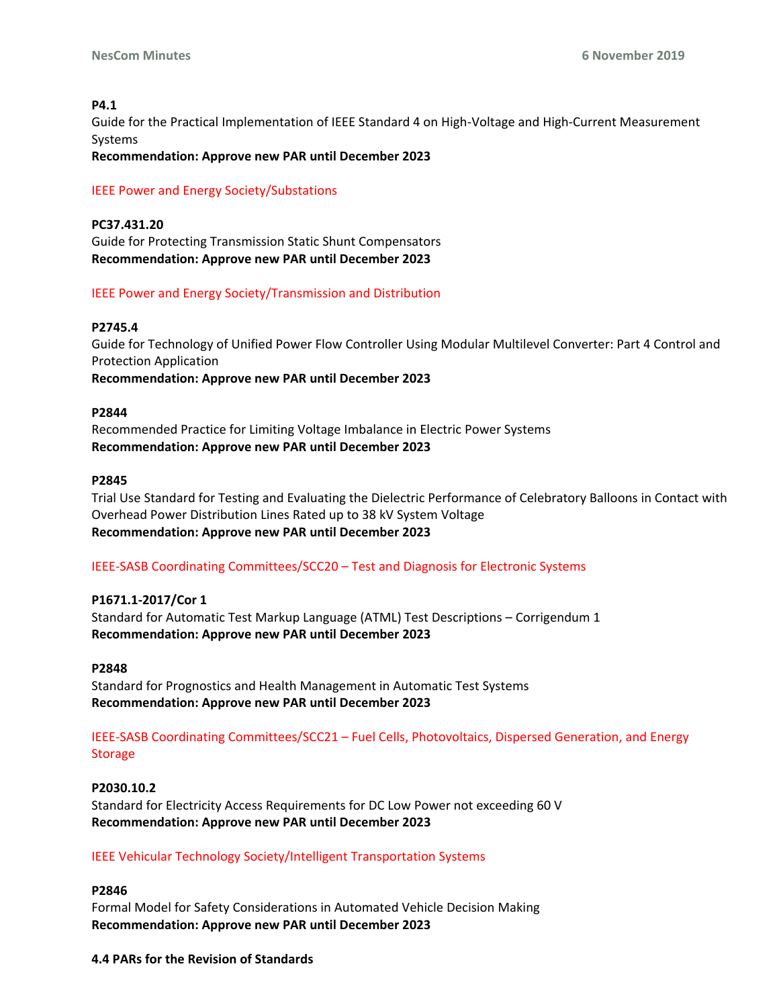# **P4.1**

Guide for the Practical Implementation of IEEE Standard 4 on High-Voltage and High-Current Measurement Systems

**Recommendation: Approve new PAR until December 2023** 

# IEEE Power and Energy Society/Substations

**PC37.431.20**  Guide for Protecting Transmission Static Shunt Compensators **Recommendation: Approve new PAR until December 2023** 

# IEEE Power and Energy Society/Transmission and Distribution

# **P2745.4**

Guide for Technology of Unified Power Flow Controller Using Modular Multilevel Converter: Part 4 Control and Protection Application **Recommendation: Approve new PAR until December 2023** 

# **P2844**

Recommended Practice for Limiting Voltage Imbalance in Electric Power Systems **Recommendation: Approve new PAR until December 2023** 

# **P2845**

Trial Use Standard for Testing and Evaluating the Dielectric Performance of Celebratory Balloons in Contact with Overhead Power Distribution Lines Rated up to 38 kV System Voltage **Recommendation: Approve new PAR until December 2023** 

# IEEE-SASB Coordinating Committees/SCC20 – Test and Diagnosis for Electronic Systems

# **P1671.1-2017/Cor 1**

Standard for Automatic Test Markup Language (ATML) Test Descriptions – Corrigendum 1 **Recommendation: Approve new PAR until December 2023** 

# **P2848**

Standard for Prognostics and Health Management in Automatic Test Systems **Recommendation: Approve new PAR until December 2023** 

IEEE-SASB Coordinating Committees/SCC21 – Fuel Cells, Photovoltaics, Dispersed Generation, and Energy Storage

**P2030.10.2**  Standard for Electricity Access Requirements for DC Low Power not exceeding 60 V **Recommendation: Approve new PAR until December 2023** 

# IEEE Vehicular Technology Society/Intelligent Transportation Systems

# **P2846**

Formal Model for Safety Considerations in Automated Vehicle Decision Making **Recommendation: Approve new PAR until December 2023**

# **4.4 PARs for the Revision of Standards**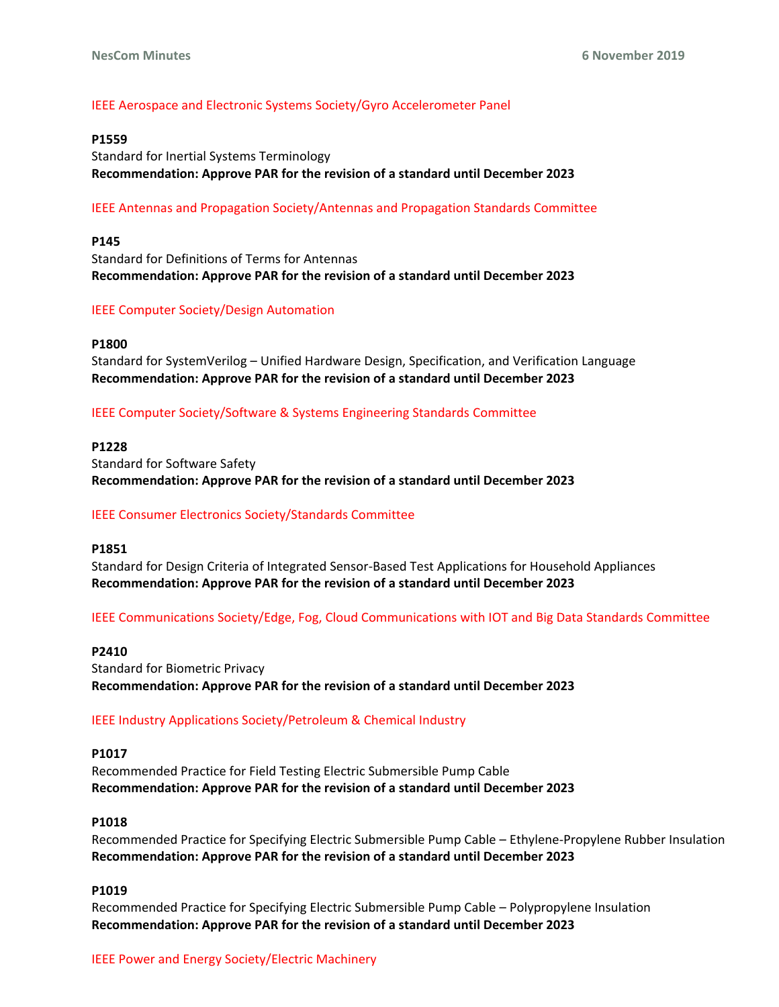# IEEE Aerospace and Electronic Systems Society/Gyro Accelerometer Panel

## **P1559**

Standard for Inertial Systems Terminology **Recommendation: Approve PAR for the revision of a standard until December 2023** 

# IEEE Antennas and Propagation Society/Antennas and Propagation Standards Committee

#### **P145**

Standard for Definitions of Terms for Antennas **Recommendation: Approve PAR for the revision of a standard until December 2023**

#### IEEE Computer Society/Design Automation

#### **P1800**

Standard for SystemVerilog – Unified Hardware Design, Specification, and Verification Language **Recommendation: Approve PAR for the revision of a standard until December 2023** 

IEEE Computer Society/Software & Systems Engineering Standards Committee

**P1228** 

Standard for Software Safety **Recommendation: Approve PAR for the revision of a standard until December 2023** 

# IEEE Consumer Electronics Society/Standards Committee

#### **P1851**

Standard for Design Criteria of Integrated Sensor-Based Test Applications for Household Appliances **Recommendation: Approve PAR for the revision of a standard until December 2023**

IEEE Communications Society/Edge, Fog, Cloud Communications with IOT and Big Data Standards Committee

#### **P2410**

Standard for Biometric Privacy **Recommendation: Approve PAR for the revision of a standard until December 2023** 

# IEEE Industry Applications Society/Petroleum & Chemical Industry

## **P1017**

Recommended Practice for Field Testing Electric Submersible Pump Cable **Recommendation: Approve PAR for the revision of a standard until December 2023** 

#### **P1018**

Recommended Practice for Specifying Electric Submersible Pump Cable – Ethylene-Propylene Rubber Insulation **Recommendation: Approve PAR for the revision of a standard until December 2023** 

# **P1019**

Recommended Practice for Specifying Electric Submersible Pump Cable – Polypropylene Insulation **Recommendation: Approve PAR for the revision of a standard until December 2023**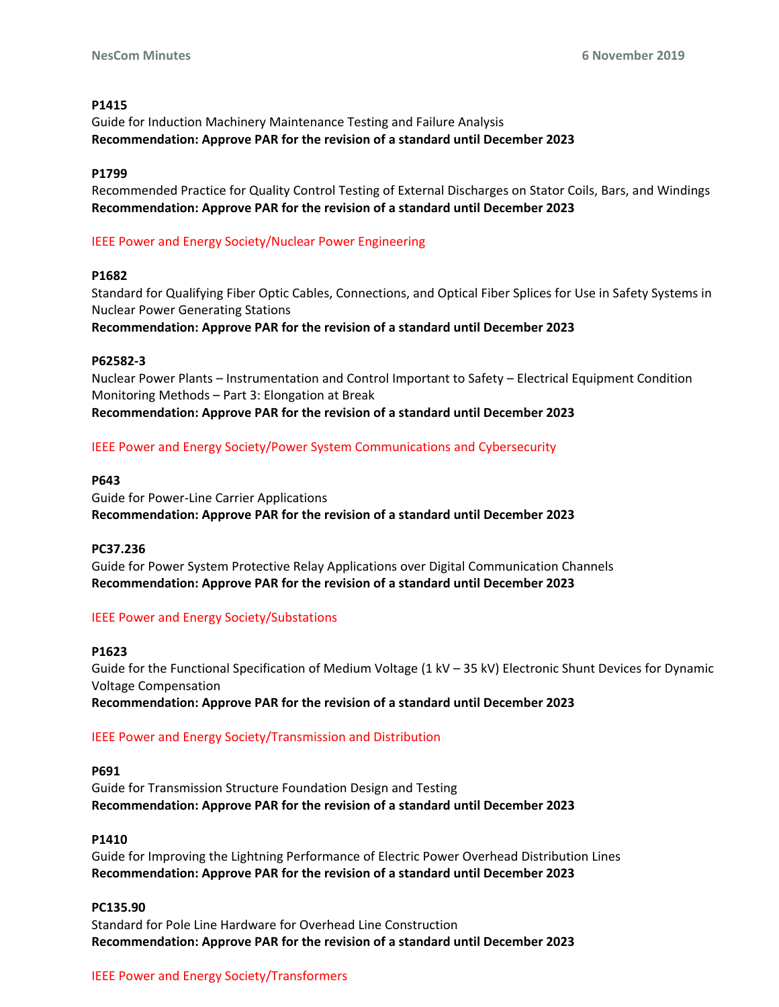# **P1415**

Guide for Induction Machinery Maintenance Testing and Failure Analysis **Recommendation: Approve PAR for the revision of a standard until December 2023** 

# **P1799**

Recommended Practice for Quality Control Testing of External Discharges on Stator Coils, Bars, and Windings **Recommendation: Approve PAR for the revision of a standard until December 2023** 

# IEEE Power and Energy Society/Nuclear Power Engineering

# **P1682**

Standard for Qualifying Fiber Optic Cables, Connections, and Optical Fiber Splices for Use in Safety Systems in Nuclear Power Generating Stations

**Recommendation: Approve PAR for the revision of a standard until December 2023** 

# **P62582-3**

Nuclear Power Plants – Instrumentation and Control Important to Safety – Electrical Equipment Condition Monitoring Methods – Part 3: Elongation at Break **Recommendation: Approve PAR for the revision of a standard until December 2023** 

# IEEE Power and Energy Society/Power System Communications and Cybersecurity

# **P643**

Guide for Power-Line Carrier Applications **Recommendation: Approve PAR for the revision of a standard until December 2023** 

# **PC37.236**

Guide for Power System Protective Relay Applications over Digital Communication Channels **Recommendation: Approve PAR for the revision of a standard until December 2023** 

# IEEE Power and Energy Society/Substations

# **P1623**

Guide for the Functional Specification of Medium Voltage (1 kV – 35 kV) Electronic Shunt Devices for Dynamic Voltage Compensation

**Recommendation: Approve PAR for the revision of a standard until December 2023** 

# IEEE Power and Energy Society/Transmission and Distribution

# **P691**

Guide for Transmission Structure Foundation Design and Testing **Recommendation: Approve PAR for the revision of a standard until December 2023** 

# **P1410**

Guide for Improving the Lightning Performance of Electric Power Overhead Distribution Lines **Recommendation: Approve PAR for the revision of a standard until December 2023** 

# **PC135.90**

Standard for Pole Line Hardware for Overhead Line Construction **Recommendation: Approve PAR for the revision of a standard until December 2023**

# IEEE Power and Energy Society/Transformers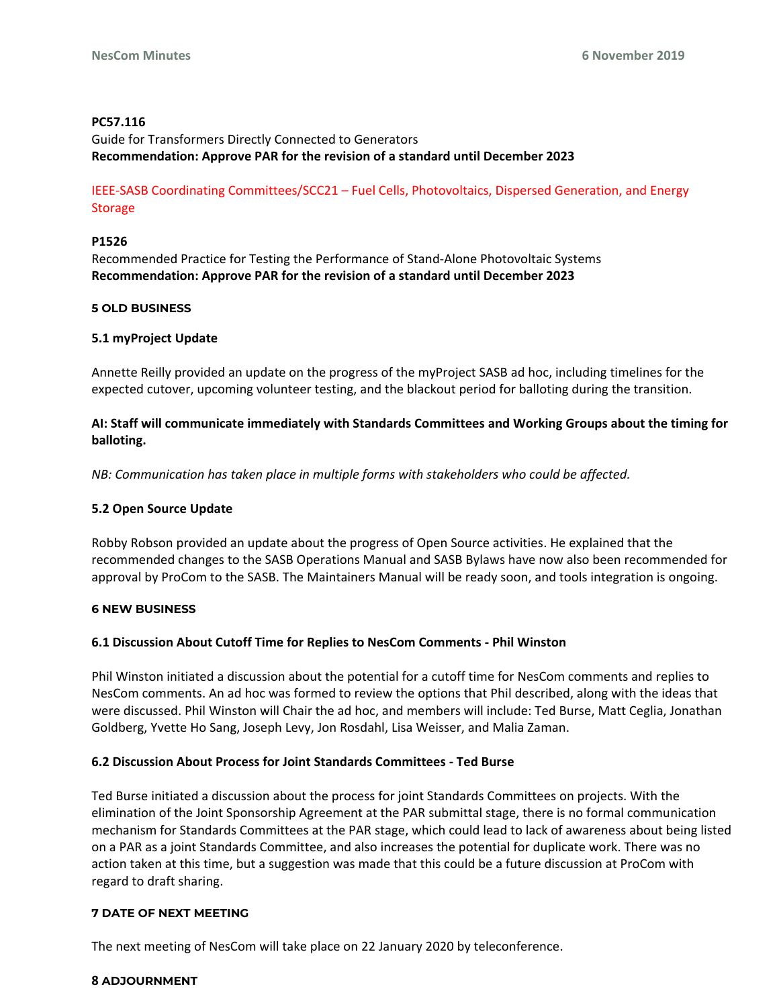# **PC57.116**

Guide for Transformers Directly Connected to Generators **Recommendation: Approve PAR for the revision of a standard until December 2023** 

IEEE-SASB Coordinating Committees/SCC21 – Fuel Cells, Photovoltaics, Dispersed Generation, and Energy Storage

# **P1526**

Recommended Practice for Testing the Performance of Stand-Alone Photovoltaic Systems **Recommendation: Approve PAR for the revision of a standard until December 2023**

# **5 OLD BUSINESS**

# **5.1 myProject Update**

Annette Reilly provided an update on the progress of the myProject SASB ad hoc, including timelines for the expected cutover, upcoming volunteer testing, and the blackout period for balloting during the transition.

# **AI: Staff will communicate immediately with Standards Committees and Working Groups about the timing for balloting.**

*NB: Communication has taken place in multiple forms with stakeholders who could be affected.*

# **5.2 Open Source Update**

Robby Robson provided an update about the progress of Open Source activities. He explained that the recommended changes to the SASB Operations Manual and SASB Bylaws have now also been recommended for approval by ProCom to the SASB. The Maintainers Manual will be ready soon, and tools integration is ongoing.

# **6 NEW BUSINESS**

# **6.1 Discussion About Cutoff Time for Replies to NesCom Comments - Phil Winston**

Phil Winston initiated a discussion about the potential for a cutoff time for NesCom comments and replies to NesCom comments. An ad hoc was formed to review the options that Phil described, along with the ideas that were discussed. Phil Winston will Chair the ad hoc, and members will include: Ted Burse, Matt Ceglia, Jonathan Goldberg, Yvette Ho Sang, Joseph Levy, Jon Rosdahl, Lisa Weisser, and Malia Zaman.

# **6.2 Discussion About Process for Joint Standards Committees - Ted Burse**

Ted Burse initiated a discussion about the process for joint Standards Committees on projects. With the elimination of the Joint Sponsorship Agreement at the PAR submittal stage, there is no formal communication mechanism for Standards Committees at the PAR stage, which could lead to lack of awareness about being listed on a PAR as a joint Standards Committee, and also increases the potential for duplicate work. There was no action taken at this time, but a suggestion was made that this could be a future discussion at ProCom with regard to draft sharing.

# **7 DATE OF NEXT MEETING**

The next meeting of NesCom will take place on 22 January 2020 by teleconference.

# **8 ADJOURNMENT**